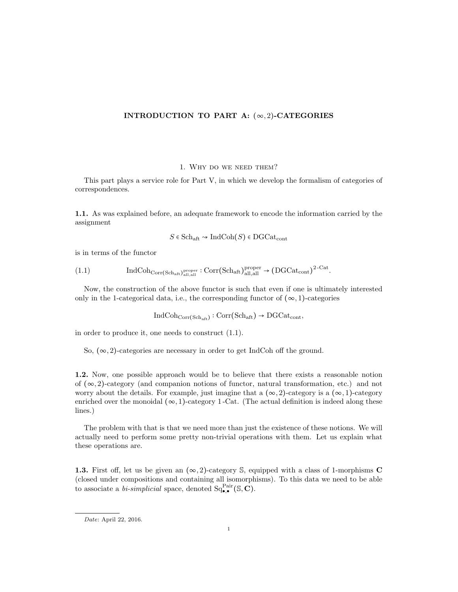## INTRODUCTION TO PART A:  $(\infty, 2)$ -CATEGORIES

## 1. Why do we need them?

This part plays a service role for Part V, in which we develop the formalism of categories of correspondences.

1.1. As was explained before, an adequate framework to encode the information carried by the assignment

$$
S \in \mathbf{Sch}_{\mathbf{aft}} \leadsto \mathbf{IndCoh}(S) \in \mathbf{DGCat}_{\mathbf{cont}}
$$

is in terms of the functor

$$
(1.1)\qquad \qquad IndCoh_{Corr(Sch_{aft})^{\text{proper}}_{\text{all,all}}} : Corr(Sch_{aft})^{\text{proper}}_{\text{all,all}} \rightarrow (DGCat_{\text{cont}})^{2\text{-Cat}}.
$$

Now, the construction of the above functor is such that even if one is ultimately interested only in the 1-categorical data, i.e., the corresponding functor of  $(\infty, 1)$ -categories

 $IndCoh_{Corr(Sch_{aff})}: Corr(Sch_{aff}) \to DGCat_{cont},$ 

in order to produce it, one needs to construct (1.1).

So,  $(\infty, 2)$ -categories are necessary in order to get IndCoh off the ground.

1.2. Now, one possible approach would be to believe that there exists a reasonable notion of  $(\infty, 2)$ -category (and companion notions of functor, natural transformation, etc.) and not worry about the details. For example, just imagine that a  $(\infty, 2)$ -category is a  $(\infty, 1)$ -category enriched over the monoidal  $(\infty, 1)$ -category 1-Cat. (The actual definition is indeed along these lines.)

The problem with that is that we need more than just the existence of these notions. We will actually need to perform some pretty non-trivial operations with them. Let us explain what these operations are.

1.3. First off, let us be given an  $(\infty, 2)$ -category S, equipped with a class of 1-morphisms C (closed under compositions and containing all isomorphisms). To this data we need to be able to associate a *bi-simplicial* space, denoted  $Sq_{\bullet,\bullet}^{Pair}(\mathbb{S}, \mathbb{C})$ .

Date: April 22, 2016.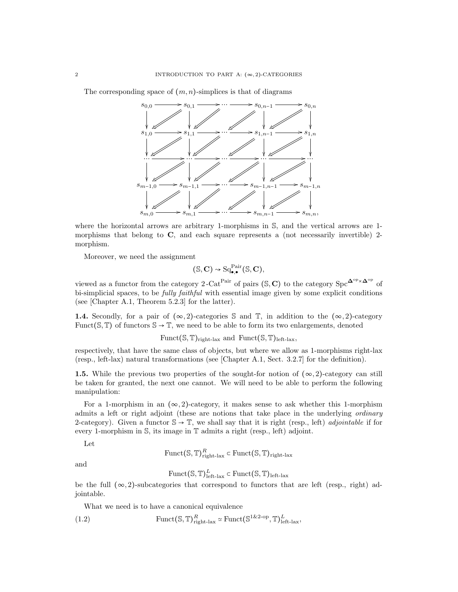The corresponding space of  $(m, n)$ -simplices is that of diagrams



where the horizontal arrows are arbitrary 1-morphisms in S, and the vertical arrows are 1 morphisms that belong to  $C$ , and each square represents a (not necessarily invertible) 2morphism.

Moreover, we need the assignment

$$
(\mathbb{S},\mathbf{C})\rightsquigarrow \mathrm{Sq}^{\mathrm{Pair}}_{\bullet,\bullet}(\mathbb{S},\mathbf{C}),
$$

viewed as a functor from the category 2-Cat<sup>Pair</sup> of pairs (\$, C) to the category Spc<sup>∆°</sup><sup>°</sup>  $\alpha$ <sup>op</sup>×△<sup>°</sup><sup>p</sup> of bi-simplicial spaces, to be *fully faithful* with essential image given by some explicit conditions (see [Chapter A.1, Theorem 5.2.3] for the latter).

**1.4.** Secondly, for a pair of  $(\infty, 2)$ -categories S and T, in addition to the  $(\infty, 2)$ -category Funct( $\mathcal{S}, \mathbb{T}$ ) of functors  $\mathcal{S} \to \mathbb{T}$ , we need to be able to form its two enlargements, denoted

Funct( $\mathcal{S}, \mathbb{T}$ )<sub>right-lax</sub> and Funct( $\mathcal{S}, \mathbb{T}$ )<sub>left-lax</sub>,

respectively, that have the same class of objects, but where we allow as 1-morphisms right-lax (resp., left-lax) natural transformations (see [Chapter A.1, Sect. 3.2.7] for the definition).

1.5. While the previous two properties of the sought-for notion of  $(\infty, 2)$ -category can still be taken for granted, the next one cannot. We will need to be able to perform the following manipulation:

For a 1-morphism in an  $(\infty, 2)$ -category, it makes sense to ask whether this 1-morphism admits a left or right adjoint (these are notions that take place in the underlying *ordinary* 2-category). Given a functor  $\mathbb{S} \to \mathbb{T}$ , we shall say that it is right (resp., left) *adjointable* if for every 1-morphism in S, its image in T admits a right (resp., left) adjoint.

Let

$$
\mathrm{Funct}(\mathbb{S}, \mathbb{T})^R_{\mathrm{right-lax}} \subset \mathrm{Funct}(\mathbb{S}, \mathbb{T})_{\mathrm{right-lax}}
$$

and

$$
\mathrm{Funct}(\mathbb{S},\mathbb{T})^L_{\mathrm{left-lax}}\subset \mathrm{Funct}(\mathbb{S},\mathbb{T})_{\mathrm{left-lax}}
$$

be the full  $(\infty, 2)$ -subcategories that correspond to functors that are left (resp., right) adjointable.

What we need is to have a canonical equivalence

(1.2) 
$$
\text{Funct}(\mathbb{S}, \mathbb{T})^R_{\text{right-lax}} \simeq \text{Funct}(\mathbb{S}^{1\&2\text{-op}}, \mathbb{T})^L_{\text{left-lax}},
$$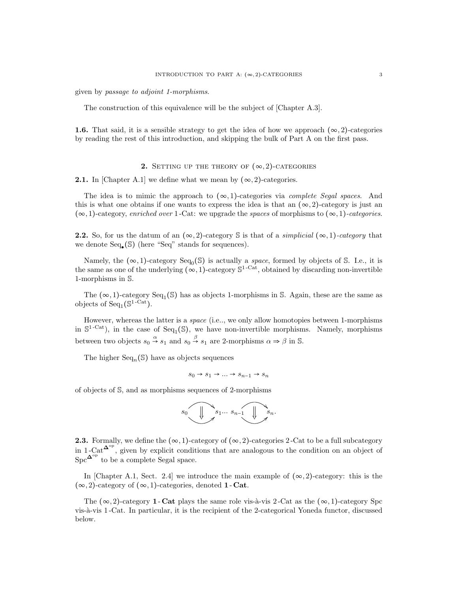given by passage to adjoint 1-morphisms.

The construction of this equivalence will be the subject of [Chapter A.3].

**1.6.** That said, it is a sensible strategy to get the idea of how we approach ( $\infty$ , 2)-categories by reading the rest of this introduction, and skipping the bulk of Part A on the first pass.

2. SETTING UP THE THEORY OF  $(\infty, 2)$ -CATEGORIES

**2.1.** In [Chapter A.1] we define what we mean by  $(\infty, 2)$ -categories.

The idea is to mimic the approach to  $(\infty, 1)$ -categories via *complete Segal spaces*. And this is what one obtains if one wants to express the idea is that an  $(\infty, 2)$ -category is just an  $(\infty, 1)$ -category, enriched over 1 -Cat: we upgrade the spaces of morphisms to  $(\infty, 1)$ -categories.

**2.2.** So, for us the datum of an  $(\infty, 2)$ -category S is that of a *simplicial*  $(\infty, 1)$ -category that we denote  $Seq_{\bullet}(\mathbb{S})$  (here "Seq" stands for sequences).

Namely, the  $(\infty, 1)$ -category  $Seq_0(\mathbb{S})$  is actually a *space*, formed by objects of S. I.e., it is the same as one of the underlying  $(\infty, 1)$ -category  $\mathbb{S}^{1-\text{Cat}}$ , obtained by discarding non-invertible 1-morphisms in S.

The  $(\infty, 1)$ -category  $Seq_1(\mathbb{S})$  has as objects 1-morphisms in S. Again, these are the same as objects of  $Seq_1(\mathbb{S}^{1-Cat})$ .

However, whereas the latter is a *space* (i.e.., we only allow homotopies between 1-morphisms in  $\mathbb{S}^{1-{\rm Cat}}$ ), in the case of  $\text{Seq}_1(\mathbb{S})$ , we have non-invertible morphisms. Namely, morphisms between two objects  $s_0 \stackrel{\alpha}{\rightarrow} s_1$  and  $s_0 \stackrel{\beta}{\rightarrow} s_1$  are 2-morphisms  $\alpha \Rightarrow \beta$  in S.

The higher  $Seq_n(\mathcal{S})$  have as objects sequences

$$
s_0\to s_1\to\ldots\to s_{n-1}\to s_n
$$

of objects of S, and as morphisms sequences of 2-morphisms



**2.3.** Formally, we define the  $(\infty, 1)$ -category of  $(\infty, 2)$ -categories 2-Cat to be a full subcategory in 1-Cat<sup> $\Delta^{\circ p}$ </sup>, given by explicit conditions that are analogous to the condition on an object of  $\text{Spc}^{\mathbf{\Delta}^{\text{op}}}$  to be a complete Segal space.

In [Chapter A.1, Sect. 2.4] we introduce the main example of  $(\infty, 2)$ -category: this is the  $(\infty, 2)$ -category of  $(\infty, 1)$ -categories, denoted **1**-Cat.

The  $(\infty, 2)$ -category 1 - Cat plays the same role vis-à-vis 2 -Cat as the  $(\infty, 1)$ -category Spc vis- $\grave{a}$ -vis 1 -Cat. In particular, it is the recipient of the 2-categorical Yoneda functor, discussed below.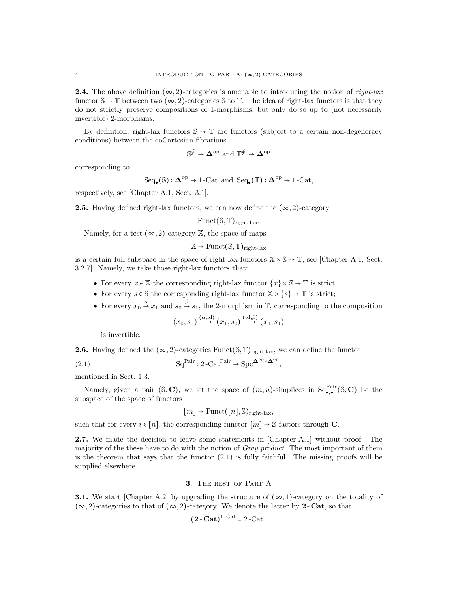**2.4.** The above definition  $(\infty, 2)$ -categories is amenable to introducing the notion of right-lax functor S  $\rightarrow$  T between two ( $\infty$ , 2)-categories S to T. The idea of right-lax functors is that they do not strictly preserve compositions of 1-morphisms, but only do so up to (not necessarily invertible) 2-morphisms.

By definition, right-lax functors  $\mathbb{S} \rightarrow \mathbb{T}$  are functors (subject to a certain non-degeneracy conditions) between the coCartesian fibrations

$$
\mathbb{S}^{\oint} \to \mathbf{\Delta}^{\mathrm{op}} \text{ and } \mathbb{T}^{\oint} \to \mathbf{\Delta}^{\mathrm{op}}
$$

corresponding to

$$
\mathrm{Seq}_\bullet(\mathbb{S}): \Delta^{\mathrm{op}} \to 1\text{-}\mathrm{Cat} \ \text{ and } \ \mathrm{Seq}_\bullet(\mathbb{T}): \Delta^{\mathrm{op}} \to 1\text{-}\mathrm{Cat},
$$

respectively, see [Chapter A.1, Sect. 3.1].

**2.5.** Having defined right-lax functors, we can now define the  $(\infty, 2)$ -category

 $Funct(S, T)_{right-last}.$ 

Namely, for a test  $(\infty, 2)$ -category X, the space of maps

$$
\mathbb{X} \to \mathrm{Funct}(\mathbb{S}, \mathbb{T})_{\mathrm{right-lax}}
$$

is a certain full subspace in the space of right-lax functors  $\mathbb{X} \times \mathbb{S} \rightarrow \mathbb{T}$ , see [Chapter A.1, Sect. 3.2.7]. Namely, we take those right-lax functors that:

- For every  $x \in \mathbb{X}$  the corresponding right-lax functor  $\{x\} \times \mathbb{S} \to \mathbb{T}$  is strict;
- For every  $s \in \mathbb{S}$  the corresponding right-lax functor  $\mathbb{X} \times \{s\} \to \mathbb{T}$  is strict;
- For every  $x_0 \stackrel{\alpha}{\rightarrow} x_1$  and  $s_0 \stackrel{\beta}{\rightarrow} s_1$ , the 2-morphism in  $\mathbb{T}$ , corresponding to the composition

,

$$
(x_0, s_0) \stackrel{(\alpha, \mathrm{id})}{\longrightarrow} (x_1, s_0) \stackrel{(\mathrm{id}, \beta)}{\longrightarrow} (x_1, s_1)
$$

is invertible.

**2.6.** Having defined the  $(\infty, 2)$ -categories Funct(S, T)<sub>right-lax</sub>, we can define the functor

(2.1) 
$$
\mathrm{Sq}^{\mathrm{Pair}} : 2\text{-Cat}^{\mathrm{Pair}} \to \mathrm{Spc}^{\mathbf{\Delta}^{\mathrm{op}} \times \mathbf{\Delta}^{\mathrm{op}}}
$$

mentioned in Sect. 1.3.

Namely, given a pair  $(\mathbb{S}, \mathbb{C})$ , we let the space of  $(m, n)$ -simplices in  $Sq_{\bullet, \bullet}^{\text{Pair}}(\mathbb{S}, \mathbb{C})$  be the subspace of the space of functors

$$
[m] \rightarrow
$$
 Funct $([n], \mathbb{S})$ <sub>right-lax</sub>,

such that for every  $i \in [n]$ , the corresponding functor  $[m] \rightarrow \mathbb{S}$  factors through C.

2.7. We made the decision to leave some statements in [Chapter A.1] without proof. The majority of the these have to do with the notion of Gray product. The most important of them is the theorem that says that the functor  $(2.1)$  is fully faithful. The missing proofs will be supplied elsewhere.

## 3. THE REST OF PART A

**3.1.** We start [Chapter A.2] by upgrading the structure of  $(\infty, 1)$ -category on the totality of  $(\infty, 2)$ -categories to that of  $(\infty, 2)$ -category. We denote the latter by 2 - Cat, so that

$$
(2-{\mathbf{Cat}})^{1-{\mathbf{Cat}}}=2{\text{-Cat}}.
$$